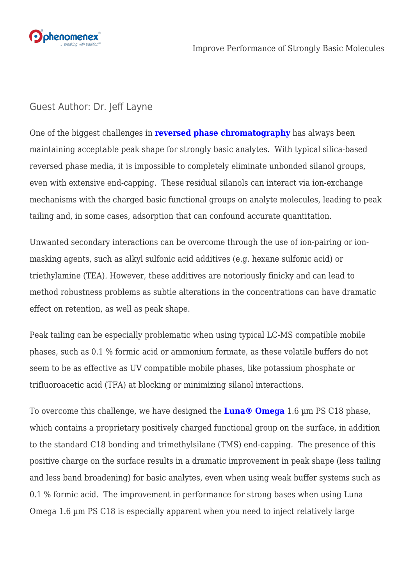

## Guest Author: Dr. Jeff Layne

One of the biggest challenges in **[reversed phase chromatography](http://ow.ly/qPt430eZEzf)** has always been maintaining acceptable peak shape for strongly basic analytes. With typical silica-based reversed phase media, it is impossible to completely eliminate unbonded silanol groups, even with extensive end-capping. These residual silanols can interact via ion-exchange mechanisms with the charged basic functional groups on analyte molecules, leading to peak tailing and, in some cases, adsorption that can confound accurate quantitation.

Unwanted secondary interactions can be overcome through the use of ion-pairing or ionmasking agents, such as alkyl sulfonic acid additives (e.g. hexane sulfonic acid) or triethylamine (TEA). However, these additives are notoriously finicky and can lead to method robustness problems as subtle alterations in the concentrations can have dramatic effect on retention, as well as peak shape.

Peak tailing can be especially problematic when using typical LC-MS compatible mobile phases, such as 0.1 % formic acid or ammonium formate, as these volatile buffers do not seem to be as effective as UV compatible mobile phases, like potassium phosphate or trifluoroacetic acid (TFA) at blocking or minimizing silanol interactions.

To overcome this challenge, we have designed the **[Luna® Omega](http://ow.ly/BS1X30eZEEB)** 1.6 µm PS C18 phase, which contains a proprietary positively charged functional group on the surface, in addition to the standard C18 bonding and trimethylsilane (TMS) end-capping. The presence of this positive charge on the surface results in a dramatic improvement in peak shape (less tailing and less band broadening) for basic analytes, even when using weak buffer systems such as 0.1 % formic acid. The improvement in performance for strong bases when using Luna Omega 1.6 µm PS C18 is especially apparent when you need to inject relatively large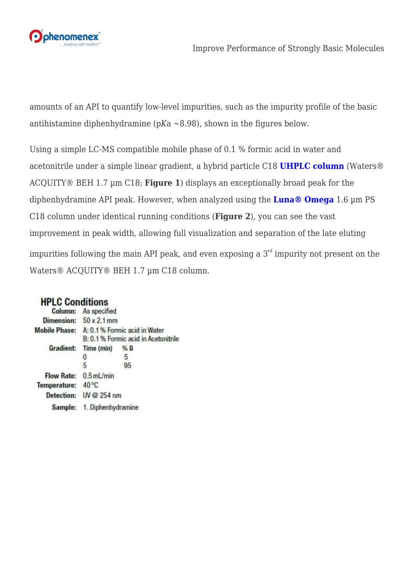

amounts of an API to quantify low-level impurities, such as the impurity profile of the basic antihistamine diphenhydramine (p*K*a ~8.98), shown in the figures below.

Using a simple LC-MS compatible mobile phase of 0.1 % formic acid in water and acetonitrile under a simple linear gradient, a hybrid particle C18 **[UHPLC column](http://ow.ly/hn0230eZG7r)** (Waters® ACQUITY® BEH 1.7 µm C18; **Figure 1**) displays an exceptionally broad peak for the diphenhydramine API peak. However, when analyzed using the **[Luna® Omega](http://ow.ly/BS1X30eZEEB)** [1](http://ow.ly/BS1X30eZEEB).6 µm PS C18 column under identical running conditions (**Figure 2**), you can see the vast improvement in peak width, allowing full visualization and separation of the late eluting impurities following the main API peak, and even exposing a  $3<sup>rd</sup>$  impurity not present on the Waters® ACQUITY® BEH 1.7 µm C18 column.

## **HPLC Conditions**

|                   | Column: As specified                                                                |     |
|-------------------|-------------------------------------------------------------------------------------|-----|
|                   | Dimension: $50 \times 2.1$ mm                                                       |     |
|                   | Mobile Phase: A: 0.1 % Formic acid in Water<br>B: 0.1 % Formic acid in Acetonitrile |     |
|                   | Gradient: Time (min)                                                                | % B |
|                   |                                                                                     | 5   |
|                   | 5                                                                                   | 95  |
|                   | Flow Rate: 0.5 mL/min                                                               |     |
| Temperature: 40°C |                                                                                     |     |
|                   | Detection: UV @ 254 nm                                                              |     |
|                   | Sample: 1. Diphenhydramine                                                          |     |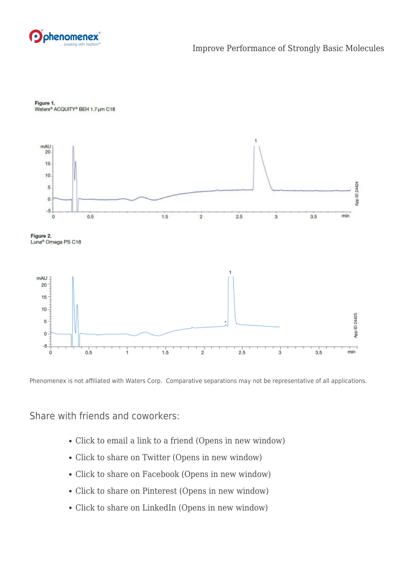



Figure 1. Waters® ACQUITY® BEH 1.7 µm C18

Phenomenex is not affiliated with Waters Corp. Comparative separations may not be representative of all applications.

Share with friends and coworkers:

- [Click to email a link to a friend \(Opens in new window\)](mailto:?subject=%5BShared%20Post%5D%20Improve%20Performance%20of%20Strongly%20Basic%20Molecules&body=https%3A%2F%2Fphenomenex.blog%2F2017%2F09%2F07%2Fimprove-performance-strongly-basic-molecules%2F&share=email)
- [Click to share on Twitter \(Opens in new window\)](https://phenomenex.blog/2017/09/07/improve-performance-strongly-basic-molecules/?share=twitter)
- [Click to share on Facebook \(Opens in new window\)](https://phenomenex.blog/2017/09/07/improve-performance-strongly-basic-molecules/?share=facebook)
- [Click to share on Pinterest \(Opens in new window\)](https://phenomenex.blog/2017/09/07/improve-performance-strongly-basic-molecules/?share=pinterest)
- [Click to share on LinkedIn \(Opens in new window\)](https://phenomenex.blog/2017/09/07/improve-performance-strongly-basic-molecules/?share=linkedin)